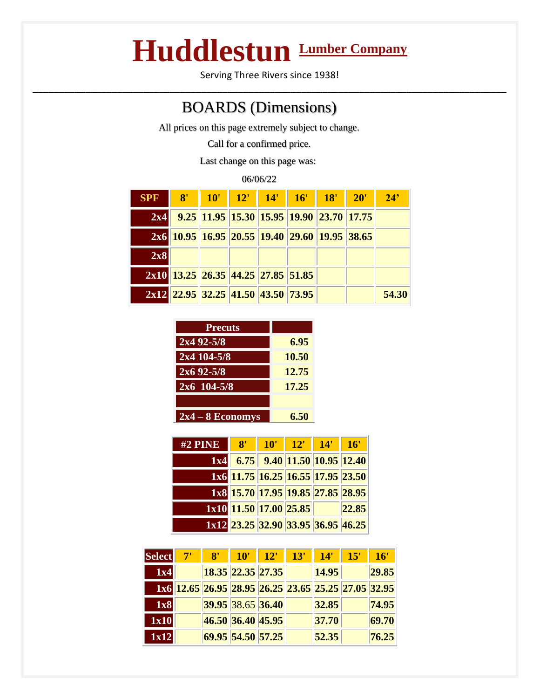## **Huddlestun Lumber Company**

Serving Three Rivers since 1938! \_\_\_\_\_\_\_\_\_\_\_\_\_\_\_\_\_\_\_\_\_\_\_\_\_\_\_\_\_\_\_\_\_\_\_\_\_\_\_\_\_\_\_\_\_\_\_\_\_\_\_\_\_\_\_\_\_\_\_\_\_\_\_\_\_\_\_\_\_\_\_\_\_\_\_\_\_\_\_\_\_\_\_\_\_\_\_\_\_\_

## BOARDS (Dimensions)

All prices on this page extremely subject to change.

Call for a confirmed price.

Last change on this page was:

| 06/06/22   |    |                                               |  |  |                 |  |     |       |  |
|------------|----|-----------------------------------------------|--|--|-----------------|--|-----|-------|--|
| <b>SPF</b> | 8' | 10'                                           |  |  | 12' 14' 16' 18' |  | 20' | 24'   |  |
| 2x4        |    | 9.25 11.95 15.30 15.95 19.90 23.70 17.75      |  |  |                 |  |     |       |  |
|            |    | 2x6 10.95 16.95 20.55 19.40 29.60 19.95 38.65 |  |  |                 |  |     |       |  |
| 2x8        |    |                                               |  |  |                 |  |     |       |  |
|            |    | 2x10 13.25 26.35 44.25 27.85 51.85            |  |  |                 |  |     |       |  |
|            |    | 2x12 22.95 32.25 41.50 43.50 73.95            |  |  |                 |  |     | 54.30 |  |

| <b>Precuts</b>     |       |
|--------------------|-------|
| $2x4 92 - 5/8$     | 6.95  |
| $2x4104 - 5/8$     | 10.50 |
| $2x692 - 5/8$      | 12.75 |
| $2x6$ 104-5/8      | 17.25 |
|                    |       |
| $2x4 - 8$ Economys | 6.50  |

| $#2$ PINE | 8' | 10' | 12'                                    | 14' | 16'   |
|-----------|----|-----|----------------------------------------|-----|-------|
|           |    |     | <b>1x4</b> 6.75 9.40 11.50 10.95 12.40 |     |       |
|           |    |     | 1x6 11.75 16.25 16.55 17.95 23.50      |     |       |
|           |    |     | 1x8 15.70 17.95 19.85 27.85 28.95      |     |       |
|           |    |     | 1x10 11.50 17.00 25.85                 |     | 22.85 |
|           |    |     | 1x12 23.25 32.90 33.95 36.95 46.25     |     |       |

| <b>Select</b> | $\mathbf{R}^{\prime}$ | $10^{\circ}$ | 12'                                                 | 13' | 14'   | 15' | 16'   |
|---------------|-----------------------|--------------|-----------------------------------------------------|-----|-------|-----|-------|
| 1x4           |                       |              | 18.35 22.35 27.35                                   |     | 14.95 |     | 29.85 |
|               |                       |              | 1x6 12.65 26.95 28.95 26.25 23.65 25.25 27.05 32.95 |     |       |     |       |
| 1x8           |                       |              | 39.95 38.65 36.40                                   |     | 32.85 |     | 74.95 |
| 1x10          |                       |              | 46.50 36.40 45.95                                   |     | 37.70 |     | 69.70 |
| 1x12          |                       |              | 69.95 54.50 57.25                                   |     | 52.35 |     | 76.25 |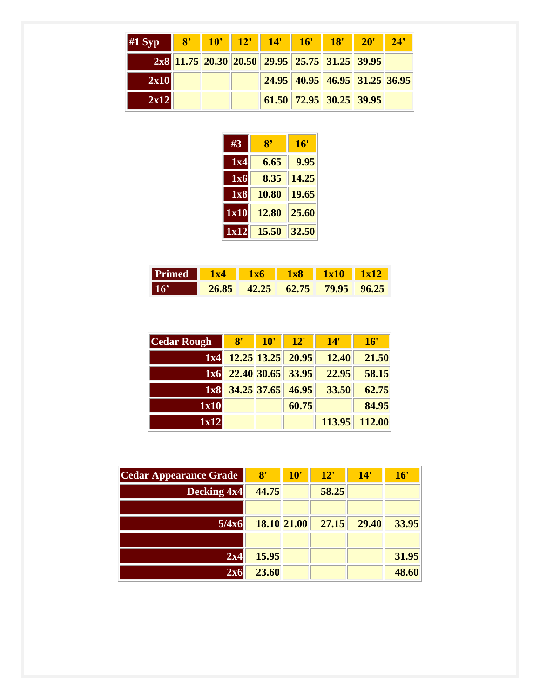| #1 Syp |  | 8 10 12 14                                    | $16'$ 18'                               | $20^{\circ}$ | $\sqrt{24}$ |
|--------|--|-----------------------------------------------|-----------------------------------------|--------------|-------------|
|        |  | 2x8 11.75 20.30 20.50 29.95 25.75 31.25 39.95 |                                         |              |             |
| 2x10   |  |                                               | $24.95$   40.95   46.95   31.25   36.95 |              |             |
| 2x12   |  |                                               | $61.50$ 72.95 30.25 39.95               |              |             |

| #3               | 8'    | 16'   |
|------------------|-------|-------|
| 1x4              | 6.65  | 9.95  |
| $\overline{1}x6$ | 8.35  | 14.25 |
| 1x8              | 10.80 | 19.65 |
| 1x10             | 12.80 | 25.60 |
| 1x12             | 15.50 | 32.50 |

| <b>Primed</b> 1x4 1x6 1x8 1x10 1x12 |  |                               |  |
|-------------------------------------|--|-------------------------------|--|
| $ 16\rangle$                        |  | 26.85 42.25 62.75 79.95 96.25 |  |

| <b>Cedar Rough</b> | $-8'$ | 10' | $-12'$                       | 14'   | 16'           |
|--------------------|-------|-----|------------------------------|-------|---------------|
|                    |       |     | 1x4 12.25 13.25 20.95        | 12.40 | 21.50         |
|                    |       |     | 1x6 22.40 30.65 33.95        | 22.95 | 58.15         |
|                    |       |     | <b>1x8</b> 34.25 37.65 46.95 | 33.50 | 62.75         |
| 1x10               |       |     | 60.75                        |       | 84.95         |
| 1x12               |       |     |                              |       | 113.95 112.00 |

| Cedar Appearance Grade | 8'    | 10'         | 12"   | 14'   | 16'   |
|------------------------|-------|-------------|-------|-------|-------|
| Decking 4x4            | 44.75 |             | 58.25 |       |       |
|                        |       |             |       |       |       |
| 5/4x6                  |       | 18.10 21.00 | 27.15 | 29.40 | 33.95 |
|                        |       |             |       |       |       |
| 2x4                    | 15.95 |             |       |       | 31.95 |
| 2x6                    | 23.60 |             |       |       | 48.60 |